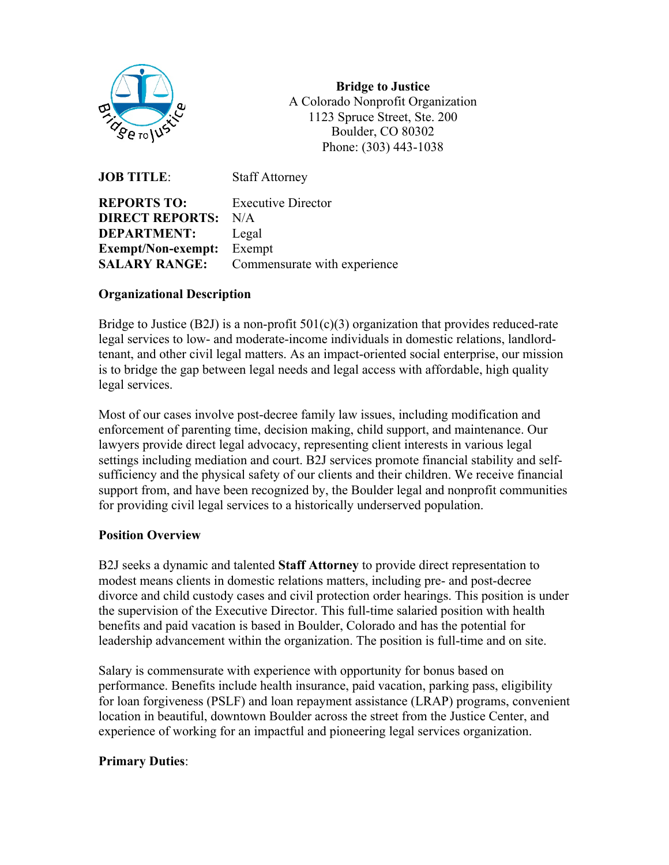

**Bridge to Justice** A Colorado Nonprofit Organization 1123 Spruce Street, Ste. 200 Boulder, CO 80302 Phone: (303) 443-1038

**JOB TITLE:** Staff Attorney **REPORTS TO:** Executive Director **DIRECT REPORTS:** N/A **DEPARTMENT:** Legal **Exempt/Non-exempt:** Exempt **SALARY RANGE:** Commensurate with experience

#### **Organizational Description**

Bridge to Justice (B2J) is a non-profit  $501(c)(3)$  organization that provides reduced-rate legal services to low- and moderate-income individuals in domestic relations, landlordtenant, and other civil legal matters. As an impact-oriented social enterprise, our mission is to bridge the gap between legal needs and legal access with affordable, high quality legal services.

Most of our cases involve post-decree family law issues, including modification and enforcement of parenting time, decision making, child support, and maintenance. Our lawyers provide direct legal advocacy, representing client interests in various legal settings including mediation and court. B2J services promote financial stability and selfsufficiency and the physical safety of our clients and their children. We receive financial support from, and have been recognized by, the Boulder legal and nonprofit communities for providing civil legal services to a historically underserved population.

## **Position Overview**

B2J seeks a dynamic and talented **Staff Attorney** to provide direct representation to modest means clients in domestic relations matters, including pre- and post-decree divorce and child custody cases and civil protection order hearings. This position is under the supervision of the Executive Director. This full-time salaried position with health benefits and paid vacation is based in Boulder, Colorado and has the potential for leadership advancement within the organization. The position is full-time and on site.

Salary is commensurate with experience with opportunity for bonus based on performance. Benefits include health insurance, paid vacation, parking pass, eligibility for loan forgiveness (PSLF) and loan repayment assistance (LRAP) programs, convenient location in beautiful, downtown Boulder across the street from the Justice Center, and experience of working for an impactful and pioneering legal services organization.

#### **Primary Duties**: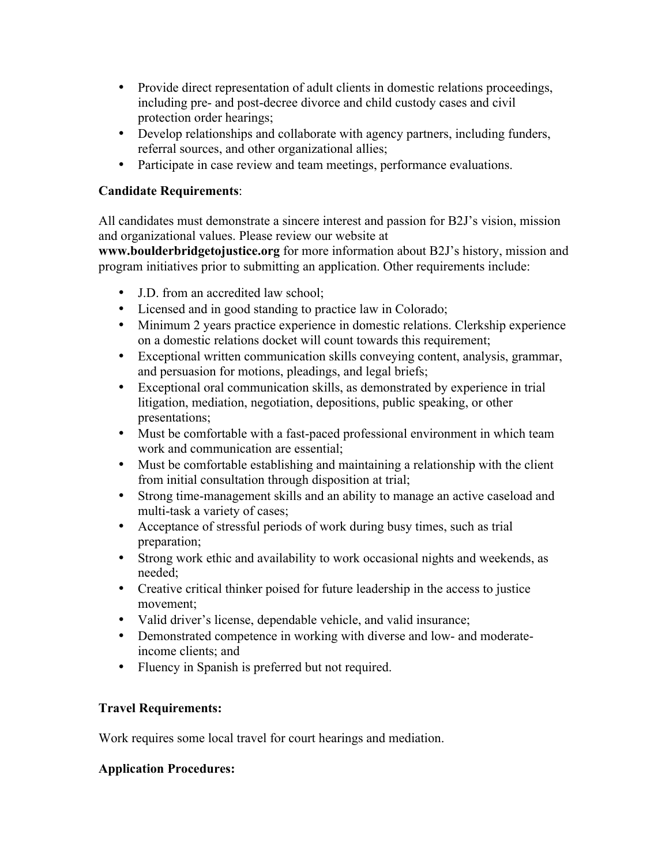- Provide direct representation of adult clients in domestic relations proceedings, including pre- and post-decree divorce and child custody cases and civil protection order hearings;
- Develop relationships and collaborate with agency partners, including funders, referral sources, and other organizational allies;
- Participate in case review and team meetings, performance evaluations.

# **Candidate Requirements**:

All candidates must demonstrate a sincere interest and passion for B2J's vision, mission and organizational values. Please review our website at

**www.boulderbridgetojustice.org** for more information about B2J's history, mission and program initiatives prior to submitting an application. Other requirements include:

- J.D. from an accredited law school;
- Licensed and in good standing to practice law in Colorado;
- Minimum 2 years practice experience in domestic relations. Clerkship experience on a domestic relations docket will count towards this requirement;
- Exceptional written communication skills conveying content, analysis, grammar, and persuasion for motions, pleadings, and legal briefs;
- Exceptional oral communication skills, as demonstrated by experience in trial litigation, mediation, negotiation, depositions, public speaking, or other presentations;
- Must be comfortable with a fast-paced professional environment in which team work and communication are essential;
- Must be comfortable establishing and maintaining a relationship with the client from initial consultation through disposition at trial;
- Strong time-management skills and an ability to manage an active caseload and multi-task a variety of cases;
- Acceptance of stressful periods of work during busy times, such as trial preparation;
- Strong work ethic and availability to work occasional nights and weekends, as needed;
- Creative critical thinker poised for future leadership in the access to justice movement;
- Valid driver's license, dependable vehicle, and valid insurance;
- Demonstrated competence in working with diverse and low- and moderateincome clients; and
- Fluency in Spanish is preferred but not required.

# **Travel Requirements:**

Work requires some local travel for court hearings and mediation.

## **Application Procedures:**